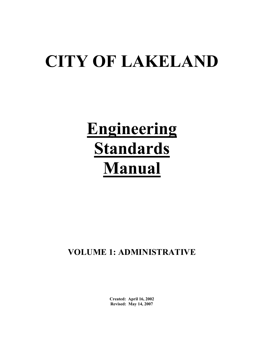# **CITY OF LAKELAND**

# **Engineering Standards Manual**

# **VOLUME 1: ADMINISTRATIVE**

 **Created: April 16, 2002 Revised: May 14, 2007**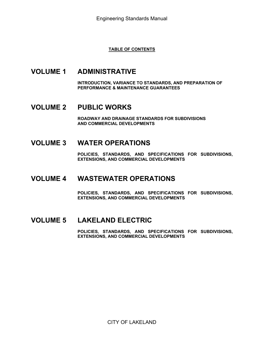## **TABLE OF CONTENTS**

# **VOLUME 1 ADMINISTRATIVE**

**INTRODUCTION, VARIANCE TO STANDARDS, AND PREPARATION OF PERFORMANCE & MAINTENANCE GUARANTEES** 

# **VOLUME 2 PUBLIC WORKS**

**ROADWAY AND DRAINAGE STANDARDS FOR SUBDIVISIONS AND COMMERCIAL DEVELOPMENTS** 

# **VOLUME 3 WATER OPERATIONS**

**POLICIES, STANDARDS, AND SPECIFICATIONS FOR SUBDIVISIONS, EXTENSIONS, AND COMMERCIAL DEVELOPMENTS** 

# **VOLUME 4 WASTEWATER OPERATIONS**

**POLICIES, STANDARDS, AND SPECIFICATIONS FOR SUBDIVISIONS, EXTENSIONS, AND COMMERCIAL DEVELOPMENTS** 

# **VOLUME 5 LAKELAND ELECTRIC**

**POLICIES, STANDARDS, AND SPECIFICATIONS FOR SUBDIVISIONS, EXTENSIONS, AND COMMERCIAL DEVELOPMENTS**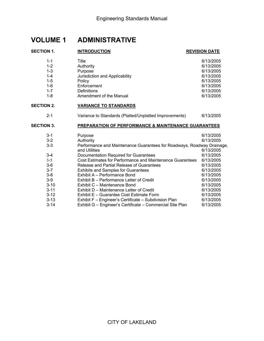# **VOLUME 1 ADMINISTRATIVE**

#### **SECTION 1. SECTION 2.**  3-4 Documentation Required for Guarantees 6/13/2005 3-5 Cost Estimates for Performance and Maintenance Guarantees 6/13/2005 3-8 Exhibit A – Performance Bond 6/13/2005 3-10 Exhibit C – Maintenance Bond 6/13/2005 3-11 Exhibit D – Maintenance Letter of Credit 6/13/2005 3-12 Exhibit E – Guarantee Cost Estimate Form 6/13/2005 3-13 Exhibit F – Engineer's Certificate – Subdivision Plan 6/13/2005 **INTRODUCTION REVISION DATE** 1-1 Title 6/13/2005 1-2 Authority 6/13/2005 1-3 Purpose 6/13/2005 1-4 Jurisdiction and Applicability 6/13/2005 1-5 Policy 6/13/2005 1-6 Enforcement 6/13/2005 1-7 Definitions 6/13/2005 1-8 Amendment of the Manual 6/13/2005 **VARIANCE TO STANDARDS** 2-1 Variance to Standards (Platted/Unplatted Improvements) 6/13/2005 **SECTION 3. PREPARATION OF PERFORMANCE & MAINTENANCE GUARANTEES**  3-1 Purpose 6/13/2005 3-2 Authority 6/13/2005 3-3 Performance and Maintenance Guarantees for Roadways, Roadway Drainage, and Utilities **6/13/2005** 3-6 Release and Partial Release of Guarantees 6/13/2005 3-7 Exhibits and Samples for Guarantees 6/13/2005 3-9 Exhibit B – Performance Letter of Credit 6/13/2005

3-14 Exhibit G – Engineer's Certificate – Commercial Site Plan 6/13/2005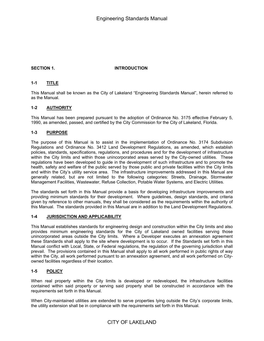#### **SECTION 1.**

#### **INTRODUCTION**

#### **1-1 TITLE**

This Manual shall be known as the City of Lakeland "Engineering Standards Manual", herein referred to as the Manual.

#### **1-2 AUTHORITY**

This Manual has been prepared pursuant to the adoption of Ordinance No. 3175 effective February 5, 1990, as amended, passed, and certified by the City Commission for the City of Lakeland, Florida.

#### **1-3 PURPOSE**

The purpose of this Manual is to assist in the implementation of Ordinance No. 3174 Subdivision Regulations and Ordinance No. 3412 Land Development Regulations, as amended, which establish policies, standards, specifications, regulations, and procedures and for the development of infrastructure within the City limits and within those unincorporated areas served by the City-owned utilities. These regulations have been developed to guide in the development of such infrastructure and to promote the health, safety and welfare of the public served by those public and private facilities within the City limits and within the City's utility service area. The infrastructure improvements addressed in this Manual are generally related, but are not limited to the following categories: Streets, Drainage, Stormwater Management Facilities, Wastewater, Refuse Collection, Potable Water Systems, and Electric Utilities.

The standards set forth in this Manual provide a basis for developing infrastructure improvements and providing minimum standards for their development. Where guidelines, design standards, and criteria given by reference to other manuals, they shall be considered as the requirements within the authority of this Manual. The standards provided in this Manual are in addition to the Land Development Regulations.

#### **1-4 JURISDICTION AND APPLICABILITY**

 prevail. The provisions contained in this Manual shall apply to all work performed in public rights of way This Manual establishes standards for engineering design and construction within the City limits and also provides minimum engineering standards for the City of Lakeland owned facilities serving those unincorporated areas outside the City limits. Where a Developer executes an annexation agreement these Standards shall apply to the site where development is to occur. If the Standards set forth in this Manual conflict with Local, State, or Federal regulations, the regulation of the governing jurisdiction shall within the City, all work performed pursuant to an annexation agreement, and all work performed on Cityowned facilities regardless of their location.

#### **1-5 POLICY**

When real property within the City limits is developed or redeveloped, the infrastructure facilities contained within said property or serving said property shall be constructed in accordance with the requirements set forth in this Manual.

When City-maintained utilities are extended to serve properties lying outside the City's corporate limits, the utility extension shall be in compliance with the requirements set forth in this Manual.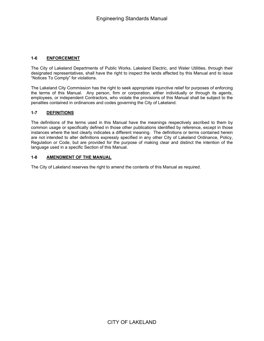#### **1-6 ENFORCEMENT**

The City of Lakeland Departments of Public Works, Lakeland Electric, and Water Utilities, through their designated representatives, shall have the right to inspect the lands affected by this Manual and to issue "Notices To Comply" for violations.

The Lakeland City Commission has the right to seek appropriate injunctive relief for purposes of enforcing the terms of this Manual. Any person, firm or corporation, either individually or through its agents, employees, or independent Contractors, who violate the provisions of this Manual shall be subject to the penalties contained in ordinances and codes governing the City of Lakeland.

#### **1-7 DEFINITIONS**

The definitions of the terms used in this Manual have the meanings respectively ascribed to them by common usage or specifically defined in those other publications identified by reference, except in those instances where the text clearly indicates a different meaning. The definitions or terms contained herein are not intended to alter definitions expressly specified in any other City of Lakeland Ordinance, Policy, Regulation or Code, but are provided for the purpose of making clear and distinct the intention of the language used in a specific Section of this Manual.

#### **1-8 AMENDMENT OF THE MANUAL**

The City of Lakeland reserves the right to amend the contents of this Manual as required.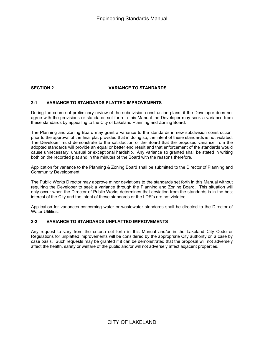## **SECTION 2. VARIANCE TO STANDARDS**

#### **2-1 VARIANCE TO STANDARDS PLATTED IMPROVEMENTS**

During the course of preliminary review of the subdivision construction plans, if the Developer does not agree with the provisions or standards set forth in this Manual the Developer may seek a variance from these standards by appealing to the City of Lakeland Planning and Zoning Board.

The Planning and Zoning Board may grant a variance to the standards in new subdivision construction, prior to the approval of the final plat provided that in doing so, the intent of these standards is not violated. The Developer must demonstrate to the satisfaction of the Board that the proposed variance from the adopted standards will provide an equal or better end result and that enforcement of the standards would cause unnecessary, unusual or exceptional hardship. Any variance so granted shall be stated in writing both on the recorded plat and in the minutes of the Board with the reasons therefore.

Application for variance to the Planning & Zoning Board shall be submitted to the Director of Planning and Community Development.

The Public Works Director may approve minor deviations to the standards set forth in this Manual without requiring the Developer to seek a variance through the Planning and Zoning Board. This situation will only occur when the Director of Public Works determines that deviation from the standards is in the best interest of the City and the intent of these standards or the LDR's are not violated.

Application for variances concerning water or wastewater standards shall be directed to the Director of Water Utilities.

#### **2-2 VARIANCE TO STANDARDS UNPLATTED IMPROVEMENTS**

Any request to vary from the criteria set forth in this Manual and/or in the Lakeland City Code or Regulations for unplatted improvements will be considered by the appropriate City authority on a case by case basis. Such requests may be granted if it can be demonstrated that the proposal will not adversely affect the health, safety or welfare of the public and/or will not adversely affect adjacent properties.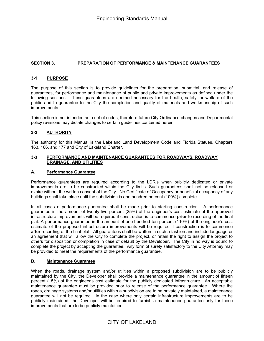#### **SECTION 3. PREPARATION OF PERFORMANCE & MAINTENANCE GUARANTEES**

#### **3-1 PURPOSE**

The purpose of this section is to provide guidelines for the preparation, submittal, and release of guarantees, for performance and maintenance of public and private improvements as defined under the following sections. These guarantees are deemed necessary for the health, safety, or welfare of the public and to guarantee to the City the completion and quality of materials and workmanship of such improvements.

This section is not intended as a set of codes, therefore future City Ordinance changes and Departmental policy revisions may dictate changes to certain guidelines contained herein.

#### **3-2 AUTHORITY**

The authority for this Manual is the Lakeland Land Development Code and Florida Statues, Chapters 163, 166, and 177 and City of Lakeland Charter.

#### **3-3 PERFORMANCE AND MAINTENANCE GUARANTEES FOR ROADWAYS, ROADWAY DRAINAGE, AND UTILITIES**

#### **A. Performance Guarantee**

Performance guarantees are required according to the LDR's when publicly dedicated or private improvements are to be constructed within the City limits. Such guarantees shall not be released or expire without the written consent of the City. No Certificate of Occupancy or beneficial occupancy of any buildings shall take place until the subdivision is one hundred percent (100%) complete.

In all cases a performance guarantee shall be made prior to starting construction. A performance guarantee in the amount of twenty-five percent (25%) of the engineer's cost estimate of the approved infrastructure improvements will be required if construction is to commence **prior** to recording of the final plat. A performance guarantee in the amount of one-hundred ten percent (110%) of the engineer's cost estimate of the proposed infrastructure improvements will be required if construction is to commence **after** recording of the final plat. All guarantees shall be written in such a fashion and include language or an agreement that will allow the City to complete the project, or retain the right to assign the project to others for disposition or completion in case of default by the Developer. The City in no way is bound to complete the project by accepting the guarantee. Any form of surety satisfactory to the City Attorney may be provided to meet the requirements of the performance guarantee.

#### **B. Maintenance Guarantee**

When the roads, drainage system and/or utilities within a proposed subdivision are to be publicly maintained by the City, the Developer shall provide a maintenance guarantee in the amount of fifteen percent (15%) of the engineer's cost estimate for the publicly dedicated infrastructure. An acceptable maintenance guarantee must be provided prior to release of the performance guarantee. Where the roads, drainage systems and/or utilities within a subdivision are to be privately maintained, a maintenance guarantee will not be required. In the case where only certain infrastructure improvements are to be publicly maintained, the Developer will be required to furnish a maintenance guarantee only for those improvements that are to be publicly maintained.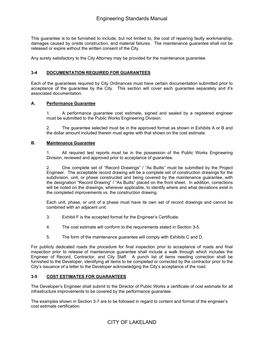This guarantee is to be furnished to include, but not limited to, the cost of repairing faulty workmanship, damages caused by onsite construction, and material failures. The maintenance guarantee shall not be released or expire without the written consent of the City.

Any surety satisfactory to the City Attorney may be provided for the maintenance guarantee.

#### **3-4 DOCUMENTATION REQUIRED FOR GUARANTEES**

Each of the guarantees required by City Ordinances must have certain documentation submitted prior to acceptance of the guarantee by the City. This section will cover each guarantee separately and it's associated documentation.

#### **A. Performance Guarantee**

1. A performance guarantee cost estimate, signed and sealed by a registered engineer must be submitted to the Public Works Engineering Division.

2. The guarantee selected must be in the approved format as shown in Exhibits A or B and the dollar amount included therein must agree with that shown on the cost estimate.

#### **B. Maintenance Guarantee**

1. All required test reports must be in the possession of the Public Works Engineering Division, reviewed and approved prior to acceptance of guarantee.

2. One complete set of "Record Drawings" / "As Builts" must be submitted by the Project Engineer. The acceptable record drawing will be a complete set of construction drawings for the subdivision, unit, or phase constructed and being covered by the maintenance guarantee, with the designation "Record Drawing" / "As Builts" placed on the front sheet. In addition, corrections will be noted on the drawings, wherever applicable, to identify where and what deviations exist in the completed improvements vs. the construction drawing.

Each unit, phase, or unit of a phase must have its own set of record drawings and cannot be combined with an adjacent unit.

- 3. Exhibit F is the accepted format for the Engineer's Certificate.
- 4. The cost estimate will conform to the requirements stated in Section 3-5.
- 5. The form of the maintenance guarantee will comply with Exhibits C and D.

For publicly dedicated roads the procedure for final inspection prior to acceptance of roads and final inspection prior to release of maintenance guarantee shall include a walk through which includes the Engineer of Record, Contractor, and City Staff. A punch list of items needing correction shall be furnished to the Developer, identifying all items to be completed or corrected by the contractor prior to the City's issuance of a letter to the Developer acknowledging the City's acceptance of the road.

#### **3-5 COST ESTIMATES FOR GUARANTEES**

The Developer's Engineer shall submit to the Director of Public Works a certificate of cost estimate for all infrastructure improvements to be covered by the performance guarantee.

The examples shown in Section 3-7 are to be followed in regard to content and format of the engineer's cost estimate certification.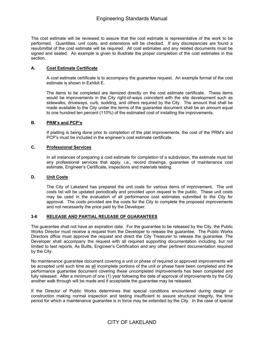The cost estimate will be reviewed to assure that the cost estimate is representative of the work to be performed. Quantities, unit costs, and extensions will be checked. If any discrepancies are found a resubmittal of the cost estimate will be required. All cost estimates and any related documents must be signed and sealed. An example is given to illustrate the proper completion of the cost estimates in this section.

#### **A. Cost Estimate Certificate**

A cost estimate certificate is to accompany the guarantee request. An example format of the cost estimate is shown in Exhibit E.

 The items to be completed are itemized directly on the cost estimate certificate. These items would be improvements in the City right-of-ways coincident with the site development such as sidewalks, driveways, curb, sodding, and others required by the City. The amount that shall be made available to the City under the terms of the guarantee document shall be an amount equal to one hundred ten percent (110%) of the estimated cost of installing the improvements.

#### **B. PRM's and PCP's**

If platting is being done prior to completion of the plat improvements, the cost of the PRM's and PCP's must be included in the engineer's cost estimate certificate.

#### **C. Professional Services**

In all instances of preparing a cost estimate for completion of a subdivision, the estimate must list any professional services that apply, i.e., record drawings, guarantee of maintenance cost estimate, Engineer's Certificate, inspections and materials testing.

#### **D. Unit Costs**

The City of Lakeland has prepared the unit costs for various items of improvement. The unit costs list will be updated periodically and provided upon request to the public. These unit costs may be used in the evaluation of all performance cost estimates submitted to the City for approval. The costs provided are the costs for the City to complete the proposed improvements and not necessarily the price paid by the Developer.

#### **3-6 RELEASE AND PARTIAL RELEASE OF GUARANTEES**

The guarantee shall not have an expiration date. For the guarantee to be released by the City, the Public Works Director must receive a request from the Developer to release the guarantee. The Public Works Directors office must approve the request and direct the City Treasurer to release the guarantee. The Developer shall accompany the request with all required supporting documentation including, but not limited to test reports, As Builts, Engineer's Certification and any other pertinent documentation required by the City.

No maintenance guarantee document covering a unit or phase of required or approved improvements will be accepted until such time as all incomplete portions of the unit or phase have been completed and the performance guarantee document covering these uncompleted improvements has been completed and fully released. After a minimum of one (1) year following the date of approval of improvements by the City another walk through will be made and if acceptable the guarantee may be released.

If the Director of Public Works determines that special conditions encountered during design or construction making normal inspection and testing insufficient to assure structural integrity, the time period for which a maintenance guarantee is in force may be extended by the City. In the case of special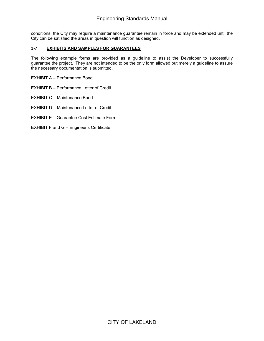conditions, the City may require a maintenance guarantee remain in force and may be extended until the City can be satisfied the areas in question will function as designed.

#### **3-7 EXHIBITS AND SAMPLES FOR GUARANTEES**

The following example forms are provided as a guideline to assist the Developer to successfully guarantee the project. They are not intended to be the only form allowed but merely a guideline to assure the necessary documentation is submitted.

EXHIBIT A – Performance Bond

EXHIBIT B – Performance Letter of Credit

EXHIBIT C – Maintenance Bond

EXHIBIT D – Maintenance Letter of Credit

EXHIBIT E – Guarantee Cost Estimate Form

EXHIBIT F and G – Engineer's Certificate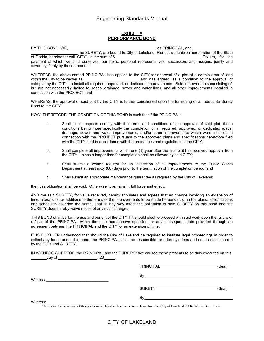#### **EXHIBIT A PERFORMANCE BOND**

 BY THIS BOND, WE, , as PRINCIPAL, and ֦ l , as SURETY, are bound to City of Lakeland, Florida, a municipal corporation of the State of Florida, hereinafter call "CITY", in the sum of \$ Dollars, for the payment of which we bind ourselves, our heirs, personal representatives, successors and assigns, jointly and severally, firmly by these presents:

within the City to be known as WHEREAS, the above-named PRINCIPAL has applied to the CITY for approval of a plat of a certain area of land and has agreed, as a condition to the approval of said plat by the CITY, to install all required, approved, or dedicated improvements. Said improvements consisting of, but are not necessarily limited to, roads, drainage, sewer and water lines, and all other improvements installed in connection with the PROJECT; and

WHEREAS, the approval of said plat by the CITY is further conditioned upon the furnishing of an adequate Surety Bond to the CITY.

NOW, THEREFORE, THE CONDITION OF THIS BOND is such that if the PRINCIPAL:

- a. Shall in all respects comply with the terms and conditions of the approval of said plat, these conditions being more specifically the completion of all required, approved, or dedicated roads, drainage, sewer and water improvements, and/or other improvements which were installed in connection with the PROJECT pursuant to the approved plans and specifications heretofore filed with the CITY, and in accordance with the ordinances and regulations of the CITY;
- b. Shall complete all improvements within one (1) year after the final plat has received approval from the CITY, unless a longer time for completion shall be allowed by said CITY;
- c. Shall submit a written request for an inspection of all improvements to the Public Works Department at least sixty (60) days prior to the termination of the completion period; and
- d. Shall submit an appropriate maintenance guarantee as required by the City of Lakeland;

then this obligation shall be void. Otherwise, it remains in full force and effect.

AND the said SURETY, for value received, hereby stipulates and agrees that no change involving an extension of time, alterations, or additions to the terms of the improvements to be made hereunder, or in the plans, specifications and schedules covering the same, shall in any way affect the obligation of said SURETY on this bond and the SURETY does hereby waive notice of any such changes.

THIS BOND shall be for the use and benefit of the CITY if it should elect to proceed with said work upon the failure or refusal of the PRINCIPAL within the time hereinabove specified, or any subsequent date provided through an agreement between the PRINCIPAL and the CITY for an extension of time.

IT IS FURTHER understood that should the City of Lakeland be required to institute legal proceedings in order to collect any funds under this bond, the PRINCIPAL, shall be responsible for attorney's fees and court costs incurred by the CITY and SURETY.

day of  $\begin{array}{ccc} & & \text{if } 20 \end{array}$ . IN WITNESS WHEREOF, the PRINCIPAL and the SURETY have caused these presents to be duly executed on this

|          | <b>PRINCIPAL</b> | (Seal) |
|----------|------------------|--------|
| Witness: | Bv               |        |
|          | <b>SURETY</b>    | (Seal) |
| Witness: | Bv               |        |

There shall be no release of this performance bond without a written release from the City of Lakeland Public Works Department.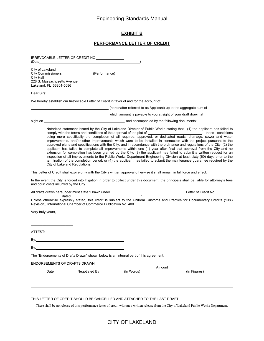#### **EXHIBIT B**

#### **PERFORMANCE LETTER OF CREDIT**

|                               |                                                                                     | IRREVOCABLE LETTER OF CREDIT NO.                                                                                                            |            |        |                                                                                                                                                                                                                                                                                                                                                                                                                                                                                                                                                                                                                                                                                                                                                                                                                                                                                         |
|-------------------------------|-------------------------------------------------------------------------------------|---------------------------------------------------------------------------------------------------------------------------------------------|------------|--------|-----------------------------------------------------------------------------------------------------------------------------------------------------------------------------------------------------------------------------------------------------------------------------------------------------------------------------------------------------------------------------------------------------------------------------------------------------------------------------------------------------------------------------------------------------------------------------------------------------------------------------------------------------------------------------------------------------------------------------------------------------------------------------------------------------------------------------------------------------------------------------------------|
| City of Lakeland<br>City Hall | <b>City Commissioners</b><br>228 S. Massachusetts Avenue<br>Lakeland, FL 33801-5086 | (Performance)                                                                                                                               |            |        |                                                                                                                                                                                                                                                                                                                                                                                                                                                                                                                                                                                                                                                                                                                                                                                                                                                                                         |
| Dear Sirs:                    |                                                                                     |                                                                                                                                             |            |        |                                                                                                                                                                                                                                                                                                                                                                                                                                                                                                                                                                                                                                                                                                                                                                                                                                                                                         |
|                               |                                                                                     | We hereby establish our Irrevocable Letter of Credit in favor of and for the account of                                                     |            |        |                                                                                                                                                                                                                                                                                                                                                                                                                                                                                                                                                                                                                                                                                                                                                                                                                                                                                         |
|                               |                                                                                     | (hereinafter referred to as Applicant) up to the aggregate sum of                                                                           |            |        |                                                                                                                                                                                                                                                                                                                                                                                                                                                                                                                                                                                                                                                                                                                                                                                                                                                                                         |
|                               |                                                                                     | which amount is payable to you at sight of your draft drawn at search with a which amount is payable to you at sight of your draft drawn at |            |        |                                                                                                                                                                                                                                                                                                                                                                                                                                                                                                                                                                                                                                                                                                                                                                                                                                                                                         |
|                               |                                                                                     |                                                                                                                                             |            |        |                                                                                                                                                                                                                                                                                                                                                                                                                                                                                                                                                                                                                                                                                                                                                                                                                                                                                         |
|                               | City of Lakeland Regulations.                                                       |                                                                                                                                             |            |        | Notarized statement issued by the City of Lakeland Director of Public Works stating that: (1) the applicant has failed to<br>improvements, and/or other improvements which were to be installed in connection with the project pursuant to the<br>approved plans and specifications with the City, and in accordance with the ordinance and regulations of the City; (2) the<br>applicant has failed to complete all improvements within one (1) year after final plat approval from the City and no<br>extension for completion has been granted by the City; (3) the applicant has failed to submit a written request for an<br>inspection of all improvements to the Public Works Department Engineering Division at least sixty (60) days prior to the<br>termination of the completion period; or (4) the applicant has failed to submit the maintenance guarantee required by the |
|                               |                                                                                     | This Letter of Credit shall expire only with the City's written approval otherwise it shall remain in full force and effect.                |            |        |                                                                                                                                                                                                                                                                                                                                                                                                                                                                                                                                                                                                                                                                                                                                                                                                                                                                                         |
|                               | and court costs incurred by the City.                                               |                                                                                                                                             |            |        | In the event the City is forced into litigation in order to collect under this document, the principals shall be liable for attorney's fees                                                                                                                                                                                                                                                                                                                                                                                                                                                                                                                                                                                                                                                                                                                                             |
|                               | dated                                                                               |                                                                                                                                             |            |        |                                                                                                                                                                                                                                                                                                                                                                                                                                                                                                                                                                                                                                                                                                                                                                                                                                                                                         |
|                               |                                                                                     | Revision), International Chamber of Commerce Publication No. 400.                                                                           |            |        | Unless otherwise expressly stated, this credit is subject to the Uniform Customs and Practice for Documentary Credits (1983                                                                                                                                                                                                                                                                                                                                                                                                                                                                                                                                                                                                                                                                                                                                                             |
| Very truly yours,             |                                                                                     |                                                                                                                                             |            |        |                                                                                                                                                                                                                                                                                                                                                                                                                                                                                                                                                                                                                                                                                                                                                                                                                                                                                         |
|                               |                                                                                     |                                                                                                                                             |            |        |                                                                                                                                                                                                                                                                                                                                                                                                                                                                                                                                                                                                                                                                                                                                                                                                                                                                                         |
| ATTEST:                       |                                                                                     |                                                                                                                                             |            |        |                                                                                                                                                                                                                                                                                                                                                                                                                                                                                                                                                                                                                                                                                                                                                                                                                                                                                         |
|                               |                                                                                     |                                                                                                                                             |            |        |                                                                                                                                                                                                                                                                                                                                                                                                                                                                                                                                                                                                                                                                                                                                                                                                                                                                                         |
| By:                           |                                                                                     |                                                                                                                                             |            |        |                                                                                                                                                                                                                                                                                                                                                                                                                                                                                                                                                                                                                                                                                                                                                                                                                                                                                         |
|                               |                                                                                     | The "Endorsements of Drafts Drawn" shown below is an integral part of this agreement.                                                       |            |        |                                                                                                                                                                                                                                                                                                                                                                                                                                                                                                                                                                                                                                                                                                                                                                                                                                                                                         |
|                               | <b>ENDORSEMENTS OF DRAFTS DRAWN:</b>                                                |                                                                                                                                             |            |        |                                                                                                                                                                                                                                                                                                                                                                                                                                                                                                                                                                                                                                                                                                                                                                                                                                                                                         |
|                               | Date                                                                                | Negotiated By                                                                                                                               | (In Words) | Amount | (In Figures)                                                                                                                                                                                                                                                                                                                                                                                                                                                                                                                                                                                                                                                                                                                                                                                                                                                                            |
|                               |                                                                                     |                                                                                                                                             |            |        |                                                                                                                                                                                                                                                                                                                                                                                                                                                                                                                                                                                                                                                                                                                                                                                                                                                                                         |
|                               |                                                                                     |                                                                                                                                             |            |        |                                                                                                                                                                                                                                                                                                                                                                                                                                                                                                                                                                                                                                                                                                                                                                                                                                                                                         |

THIS LETTER OF CREDIT SHOULD BE CANCELLED AND ATTACHED TO THE LAST DRAFT.

There shall be no release of this performance letter of credit without a written release from the City of Lakeland Public Works Department.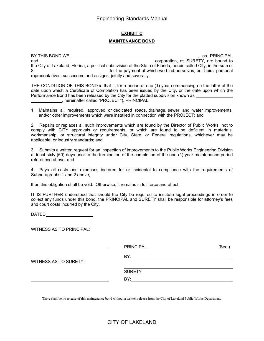# **EXHIBIT C MAINTENANCE BOND**

  $\frac{1}{2}$ BY THIS BOND WE, , as PRINCIPAL and **corporation**, as SURETY, are bound to the City of Lakeland, Florida, a political subdivision of the State of Florida, herein called City, in the sum of **Example 20** for the payment of which we bind ourselves, our heirs, personal representatives, successors and assigns, jointly and severally.

Performance Bond has been released by the City for the platted subdivision known as ,<br>\_\_\_\_\_\_\_\_\_\_\_\_\_\_, hereinafter called "PROJECT"), PRINCIPAL: THE CONDITION OF THIS BOND is that if, for a period of one (1) year commencing on the latter of the date upon which a Certificate of Completion has been issued by the City, or the date upon which the

 1. Maintains all required, approved, or dedicated roads, drainage, sewer and water improvements, and/or other improvements which were installed in connection with the PROJECT; and

2. Repairs or replaces all such improvements which are found by the Director of Public Works not to comply with CITY approvals or requirements, or which are found to be deficient in materials, workmanship, or structural integrity under City, State, or Federal regulations, whichever may be applicable, or industry standards; and

 3. Submits a written request for an inspection of improvements to the Public Works Engineering Division at least sixty (60) days prior to the termination of the completion of the one (1) year maintenance period referenced above; and

4. Pays all costs and expenses incurred for or incidental to compliance with the requirements of Subparagraphs 1 and 2 above;

then this obligation shall be void. Otherwise, it remains in full force and effect.

IT IS FURTHER understood that should the City be required to institute legal proceedings in order to collect any funds under this bond, the PRINCIPAL and SURETY shall be responsible for attorney's fees and court costs incurred by the City.

**DATED** 

WITNESS AS TO PRINCIPAL:

|                              | PRINCIPAL_____________________ | (Seal) |
|------------------------------|--------------------------------|--------|
|                              | BY:                            |        |
| <b>WITNESS AS TO SURETY:</b> |                                |        |
|                              | <b>SURETY</b>                  |        |
|                              | BY:                            |        |
|                              |                                |        |

There shall be no release of this maintenance bond without a written release from the City of Lakeland Public Works Department.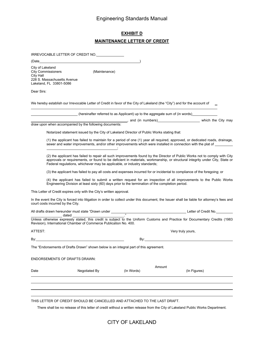# **EXHIBIT D MAINTENANCE LETTER OF CREDIT**

IRREVOCABLE LETTER OF CREDIT NO. (Date )

(Date

 City Commissioners (Maintenance) City of Lakeland City Hall 228 S. Massachusetts Avenue Lakeland, FL 33801-5086

Dear Sirs:

 $\overline{a}$  $\overline{a}$ 

 $By:$ 

We hereby establish our Irrevocable Letter of Credit in favor of the City of Lakeland (the "City") and for the account of

(hereinafter referred to as Applicant) up to the aggregate sum of (in words)

., and (in numbers) \_\_\_\_\_\_\_\_\_\_\_\_\_\_\_\_\_\_\_\_\_\_\_\_ which the City may draw upon when accompanied by the following documents:

Notarized statement issued by the City of Lakeland Director of Public Works stating that:

 $\overline{a}$ (1) the applicant has failed to maintain for a period of one (1) year all required, approved, or dedicated roads, drainage, sewer and water improvements, and/or other improvements which were installed in connection with the plat of \_\_\_\_\_\_ ;

(2) the applicant has failed to repair all such improvements found by the Director of Public Works not to comply with City approvals or requirements, or found to be deficient in materials, workmanship, or structural integrity under City, State or Federal regulations, whichever may be applicable, or industry standards;

(3) the applicant has failed to pay all costs and expenses incurred for or incidental to compliance of the foregoing; or

(4) the applicant has failed to submit a written request for an inspection of all improvements to the Public Works Engineering Division at least sixty (60) days prior to the termination of the completion period.

This Letter of Credit expires only with the City's written approval.

In the event the City is forced into litigation in order to collect under this document, the Issuer shall be liable for attorney's fees and court costs incurred by the City.

All drafts drawn hereunder must state "Drawn under \_\_  $\overline{a}$  Very truly yours, Letter of Credit No. \_\_\_ dated \_ Unless otherwise expressly stated, this credit is subject to the Uniform Customs and Practice for Documentary Credits (1983 Revision), International Chamber of Commerce Publication No. 400. ATTEST:

The "Endorsements of Drafts Drawn" shown below is an integral part of this agreement.

By: By:

ENDORSEMENTS OF DRAFTS DRAWN:

| Date | Negotiated By | (In Words) | Amount | (In Figures) |
|------|---------------|------------|--------|--------------|
|      |               |            |        |              |

#### THIS LETTER OF CREDIT SHOULD BE CANCELLED AND ATTACHED TO THE LAST DRAFT.

There shall be no release of this letter of credit without a written release from the City of Lakeland Public Works Department.

## CITY OF LAKELAND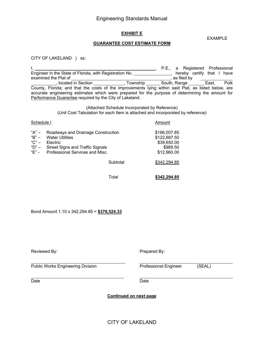#### **EXHIBIT E**

EXAMPLE

#### **GUARANTEE COST ESTIMATE FORM**

CITY OF LAKELAND ) ss:

 I, Engineer in the State of Florida, with Registration No. examined the Plat of , located in Section **contain the contract of the Section** , Township , P.E., a Registered , hereby certify , as filed by South, Range Professional that I have East, Polk County, Florida; and that the costs of the improvements lying within said Plat, as listed below, are accurate engineering estimates which were prepared for the purpose of determining the amount for Performance Guarantee required by the City of Lakeland.

> (Attached Schedule Incorporated by Reference) (Unit Cost Tabulation for each Item is attached and incorporated by reference)

| Schedule I                                        |                                                                                                                                                        |          | Amount                                                                 |
|---------------------------------------------------|--------------------------------------------------------------------------------------------------------------------------------------------------------|----------|------------------------------------------------------------------------|
| "A" –<br>"B" –<br>" $C$ " $-$<br>"D" $-$<br>"F" - | Roadways and Drainage Construction<br><b>Water Utilities</b><br>Electric<br><b>Street Signs and Traffic Signals</b><br>Professional Services and Misc. |          | \$166,007.85<br>\$122,687.50<br>\$39,650.00<br>\$989.50<br>\$12,960.00 |
|                                                   |                                                                                                                                                        | Subtotal | \$342,294.85                                                           |
|                                                   |                                                                                                                                                        |          |                                                                        |

Total

Total **\$342,294.85** 

Bond Amount 1.10 x 342,294.85 = **\$376,524.33** 

| Reviewed By:                             | Prepared By:                 |        |  |  |  |
|------------------------------------------|------------------------------|--------|--|--|--|
| <b>Public Works Engineering Division</b> | <b>Professional Engineer</b> | (SEAL) |  |  |  |
| Date                                     | Date                         |        |  |  |  |

**Continued on next page**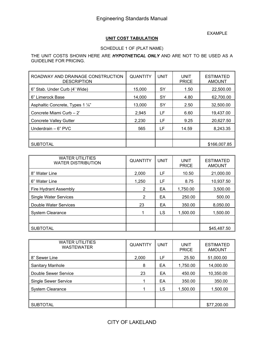EXAMPLE

## **UNIT COST TABULATION**

## SCHEDULE 1 OF (PLAT NAME)

THE UNIT COSTS SHOWN HERE ARE *HYPOTHETICAL ONLY* AND ARE NOT TO BE USED AS A GUIDELINE FOR PRICING.

| ROADWAY AND DRAINAGE CONSTRUCTION<br><b>DESCRIPTION</b> | <b>QUANTITY</b> | UNIT | UNIT<br><b>PRICE</b> | <b>ESTIMATED</b><br><b>AMOUNT</b> |
|---------------------------------------------------------|-----------------|------|----------------------|-----------------------------------|
| 6" Stab. Under Curb (4' Wide)                           | 15,000          | SY   | 1.50                 | 22,500.00                         |
| 6" Limerock Base                                        | 14.000          | SY   | 4.80                 | 62,700.00                         |
| Asphaltic Concrete, Types 1 1/4"                        | 13.000          | SY   | 2.50                 | 32,500.00                         |
| Concrete Miami Curb - 2'                                | 2,945           | LF   | 6.60                 | 19,437.00                         |
| <b>Concrete Valley Gutter</b>                           | 2,230           | LF   | 9.25                 | 20,627.50                         |
| Underdrain $-6$ " PVC                                   | 565             | LF   | 14.59                | 8,243.35                          |
|                                                         |                 |      |                      |                                   |
| <b>SUBTOTAL</b>                                         |                 |      |                      | \$166,007.85                      |

| <b>WATER UTILITIES</b><br><b>WATER DISTRIBUTION</b> | <b>QUANTITY</b> | UNIT | UNIT<br><b>PRICE</b> | <b>ESTIMATED</b><br><b>AMOUNT</b> |
|-----------------------------------------------------|-----------------|------|----------------------|-----------------------------------|
| 8" Water Line                                       | 2,000           | LF   | 10.50                | 21,000.00                         |
| 6" Water Line                                       | 1,250           | LF   | 8.75                 | 10,937.50                         |
| <b>Fire Hydrant Assembly</b>                        | 2               | EA   | 1,750.00             | 3,500.00                          |
| <b>Single Water Services</b>                        | 2               | ЕA   | 250.00               | 500.00                            |
| Double Water Services                               | 23              | ЕA   | 350.00               | 8,050.00                          |
| <b>System Clearance</b>                             |                 | LS   | 1,500.00             | 1,500.00                          |
|                                                     |                 |      |                      |                                   |
| <b>SUBTOTAL</b>                                     |                 |      |                      | \$45,487.50                       |

| <b>WATER UTILITIES</b><br><b>WASTEWATER</b> | <b>QUANTITY</b> | UNIT | UNIT<br><b>PRICE</b> | <b>ESTIMATED</b><br><b>AMOUNT</b> |
|---------------------------------------------|-----------------|------|----------------------|-----------------------------------|
| 8" Sewer Line                               | 2,000           | LF   | 25.50                | 51,000.00                         |
| <b>Sanitary Manhole</b>                     | 8               | EA   | 1,750.00             | 14,000.00                         |
| Double Sewer Service                        | 23              | ЕA   | 450.00               | 10,350.00                         |
| <b>Single Sewer Service</b>                 |                 | EA   | 350.00               | 350.00                            |
| <b>System Clearance</b>                     |                 | LS   | 1,500.00             | 1,500.00                          |
|                                             |                 |      |                      |                                   |
| <b>SUBTOTAL</b>                             |                 |      |                      | \$77,200.00                       |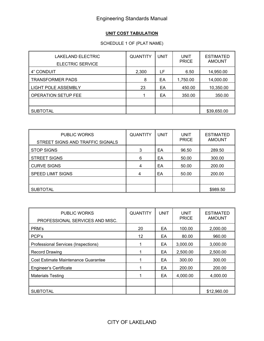# **UNIT COST TABULATION**

# SCHEDULE 1 OF (PLAT NAME)

| LAKELAND ELECTRIC<br><b>ELECTRIC SERVICE</b> | <b>QUANTITY</b> | <b>UNIT</b> | <b>UNIT</b><br><b>PRICE</b> | <b>ESTIMATED</b><br><b>AMOUNT</b> |
|----------------------------------------------|-----------------|-------------|-----------------------------|-----------------------------------|
| 4" CONDUIT                                   | 2,300           | LF          | 6.50                        | 14,950.00                         |
| <b>TRANSFORMER PADS</b>                      | 8               | EA          | 1,750.00                    | 14,000.00                         |
| LIGHT POLE ASSEMBLY                          | 23              | ЕA          | 450.00                      | 10,350.00                         |
| $\,$ OPERATION SETUP FEE                     |                 | ЕA          | 350.00                      | 350.00                            |
|                                              |                 |             |                             |                                   |
| ∥ SUBTOTAL                                   |                 |             |                             | \$39,650.00                       |

| <b>PUBLIC WORKS</b><br>STREET SIGNS AND TRAFFIC SIGNALS | <b>QUANTITY</b> | <b>UNIT</b> | <b>UNIT</b><br><b>PRICE</b> | <b>ESTIMATED</b><br><b>AMOUNT</b> |
|---------------------------------------------------------|-----------------|-------------|-----------------------------|-----------------------------------|
| <b>STOP SIGNS</b>                                       | 3               | EA          | 96.50                       | 289.50                            |
| <b>STREET SIGNS</b>                                     | 6               | EA          | 50.00                       | 300.00                            |
| ∥ CURVE SIGNS                                           | 4               | EA          | 50.00                       | 200.00                            |
| <b>SPEED LIMIT SIGNS</b>                                | 4               | EA          | 50.00                       | 200.00                            |
|                                                         |                 |             |                             |                                   |
| SUBTOTAL                                                |                 |             |                             | \$989.50                          |

| <b>PUBLIC WORKS</b><br>PROFESSIONAL SERVICES AND MISC. | <b>QUANTITY</b> | <b>UNIT</b> | <b>UNIT</b><br><b>PRICE</b> | <b>ESTIMATED</b><br><b>AMOUNT</b> |
|--------------------------------------------------------|-----------------|-------------|-----------------------------|-----------------------------------|
| PRM's                                                  | 20              | EA          | 100.00                      | 2,000.00                          |
| PCP's                                                  | 12              | EA          | 80.00                       | 960.00                            |
| Professional Services (Inspections)                    |                 | EA          | 3,000.00                    | 3,000.00                          |
| <b>Record Drawing</b>                                  |                 | EA          | 2,500.00                    | 2,500.00                          |
| Cost Estimate Maintenance Guarantee                    |                 | EA          | 300.00                      | 300.00                            |
| <b>Engineer's Certificate</b>                          | 1               | EA          | 200.00                      | 200.00                            |
| <b>Materials Testing</b>                               | 1               | EA          | 4,000.00                    | 4,000.00                          |
|                                                        |                 |             |                             |                                   |
| <b>SUBTOTAL</b>                                        |                 |             |                             | \$12,960.00                       |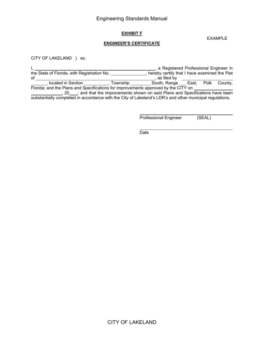### **EXHIBIT F**

#### **ENGINEER'S CERTIFICATE**

CITY OF LAKELAND ) ss:

Ι,  $\ddot{\phantom{a}}$  , 20  $\Box$ ; and that the improvements shown on said Plans and Specifications have been I, , a Registered Professional Engineer in the State of Florida, with Registration No. \_\_\_\_\_\_\_\_\_\_\_\_\_\_\_, hereby certify that I have examined the Plat of , as filed by , located in Section \_\_\_\_\_\_\_\_\_\_\_, Township \_\_\_\_\_\_\_\_\_ South, Range \_\_\_ East, Polk County, Florida; and the Plans and Specifications for improvements approved by the CITY on

substantially completed in accordance with the City of Lakeland's LDR's and other municipal regulations.

Professional Engineer (SEAL)

**Date** and the contract of the contract of the Date of the Contract of the Contract of the Contract of the Contract of the Contract of the Contract of the Contract of the Contract of the Contract of the Contract of the Con

CITY OF LAKELAND

EXAMPLE